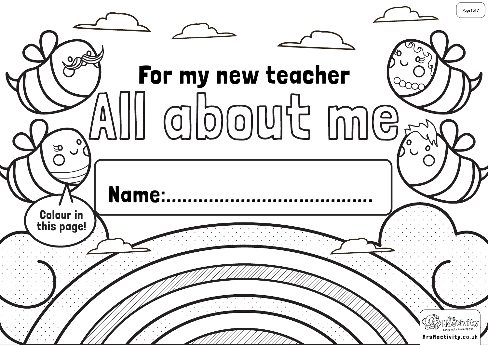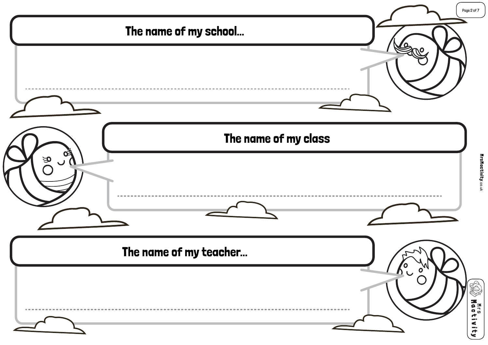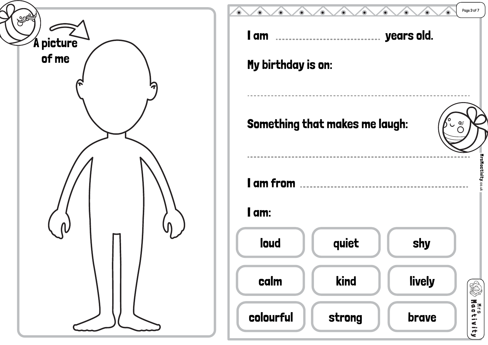

| Page 3 of 7<br>I am<br>years old.<br> |                                       |                          |                       |
|---------------------------------------|---------------------------------------|--------------------------|-----------------------|
| My birthday is on:                    |                                       |                          |                       |
|                                       | <b>Something that makes me laugh:</b> | $\widetilde{\mathbf{e}}$ |                       |
| I am from<br>I am:                    |                                       |                          | MrsMactivity.co.uk    |
| loud                                  | quiet                                 | shy                      |                       |
| calm                                  | kind                                  | lively                   |                       |
| colourful                             | strong                                | brave                    | <b>NTCS</b><br>$\leq$ |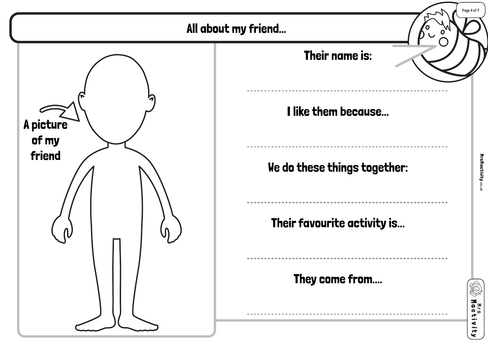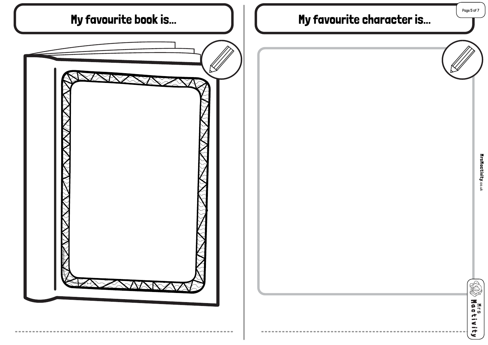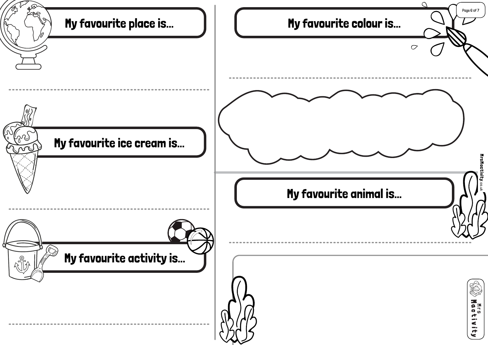